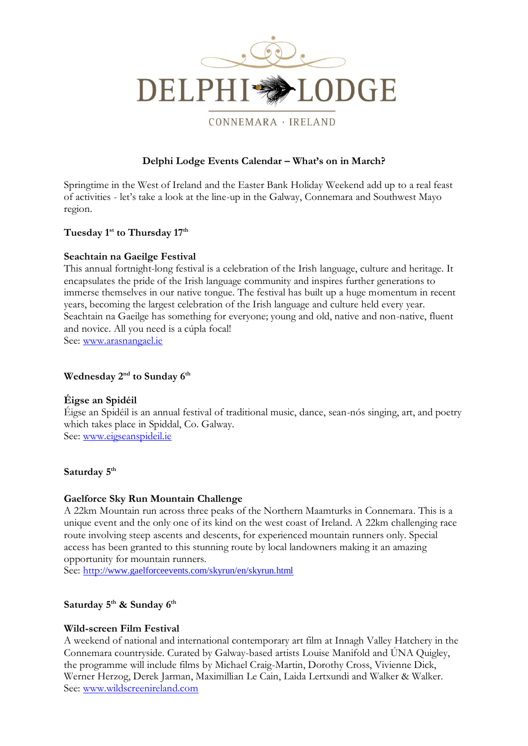

CONNEMARA · IRELAND

## **Delphi Lodge Events Calendar – What's on in March?**

Springtime in the West of Ireland and the Easter Bank Holiday Weekend add up to a real feast of activities - let's take a look at the line-up in the Galway, Connemara and Southwest Mayo region.

### **Tuesday 1st to Thursday 17th**

### **Seachtain na Gaeilge Festival**

This annual fortnight-long festival is a celebration of the Irish language, culture and heritage. It encapsulates the pride of the Irish language community and inspires further generations to immerse themselves in our native tongue. The festival has built up a huge momentum in recent years, becoming the largest celebration of the Irish language and culture held every year. Seachtain na Gaeilge has something for everyone; young and old, native and non-native, fluent and novice. All you need is a cúpla focal! See: [www.arasnangael.ie](http://www.arasnangael.ie/)

### **Wednesday 2nd to Sunday 6th**

### **Éigse an Spidéil**

Éigse an Spidéil is an annual festival of traditional music, dance, sean-nós singing, art, and poetry which takes place in Spiddal, Co. Galway. See: [www.eigseanspideil.ie](http://www.eigseanspideil.ie/)

### **Saturday 5 th**

### **Gaelforce Sky Run Mountain [Challenge](http://www.destinationwestport.com/event/gaelforce-sky-run-mountain-challenge/)**

A 22km Mountain run across three peaks of the Northern Maamturks in Connemara. This is a unique event and the only one of its kind on the west coast of Ireland. A 22km challenging race route involving steep ascents and descents, for experienced mountain runners only. Special access has been granted to this stunning route by local landowners making it an amazing opportunity for mountain runners.

See: http[://www.gaelforceevents.com/skyrun/en/skyrun.html](http://www.gaelforceevents.com/skyrun/en/skyrun.html)

# **Saturday 5th & Sunday 6th**

### **Wild-screen Film Festival**

A weekend of national and international contemporary art film at Innagh Valley Hatchery in the Connemara countryside. Curated by Galway-based artists Louise Manifold and ÚNA Quigley, the programme will include films by Michael Craig-Martin, Dorothy Cross, Vivienne Dick, Werner Herzog, Derek Jarman, Maximillian Le Cain, Laida Lertxundi and Walker & Walker. See: [www.wildscreenireland.com](http://www.wildscreenireland.com/)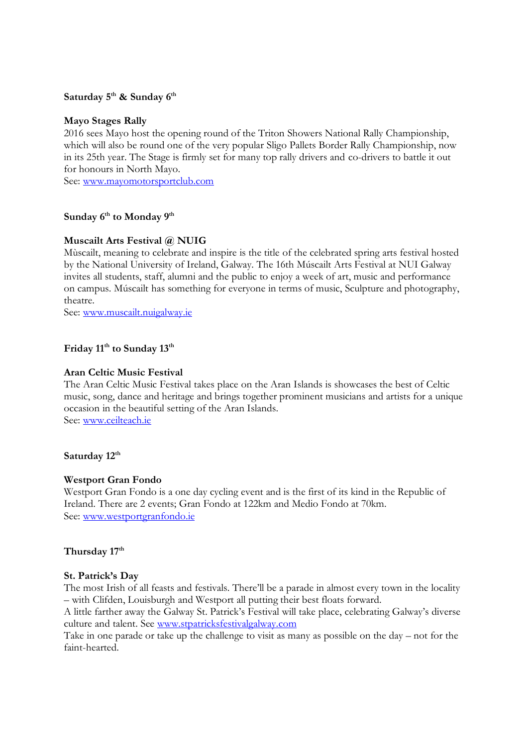### **Saturday 5th & Sunday 6th**

### **Mayo Stages Rally**

2016 sees Mayo host the opening round of the Triton Showers National Rally Championship, which will also be round one of the very popular Sligo Pallets Border Rally Championship, now in its 25th year. The Stage is firmly set for many top rally drivers and co-drivers to battle it out for honours in North Mayo.

See: [www.mayomotorsportclub.com](http://www.mayomotorsportclub.com/) 

# **Sunday 6 th to Monday 9th**

### **Muscailt Arts Festival @ NUIG**

Mùscailt, meaning to celebrate and inspire is the title of the celebrated spring arts festival hosted by the National University of Ireland, Galway. The 16th Múscailt Arts Festival at NUI Galway invites all students, staff, alumni and the public to enjoy a week of art, music and performance on campus. Múscailt has something for everyone in terms of music, Sculpture and photography, theatre.

See: [www.muscailt.nuigalway.ie](http://www.muscailt.nuigalway.ie/)

## **Friday 11th to Sunday 13th**

### **Aran Celtic Music Festival**

The Aran Celtic Music Festival takes place on the Aran Islands is showcases the best of Celtic music, song, dance and heritage and brings together prominent musicians and artists for a unique occasion in the beautiful setting of the Aran Islands. See: [www.ceilteach.ie](http://www.ceilteach.ie/)

### **Saturday 12th**

### **Westport Gran Fondo**

Westport Gran Fondo is a one day cycling event and is the first of its kind in the Republic of Ireland. There are 2 events; Gran Fondo at 122km and Medio Fondo at 70km. See: [www.westportgranfondo.ie](http://www.westportgranfondo.ie/)

### **Thursday 17th**

#### **St. Patrick's Day**

The most Irish of all feasts and festivals. There'll be a parade in almost every town in the locality – with Clifden, Louisburgh and Westport all putting their best floats forward.

A little farther away the Galway St. Patrick's Festival will take place, celebrating Galway's diverse culture and talent. See [www.stpatricksfestivalgalway.com](http://www.stpatricksfestivalgalway.com/)

Take in one parade or take up the challenge to visit as many as possible on the day – not for the faint-hearted.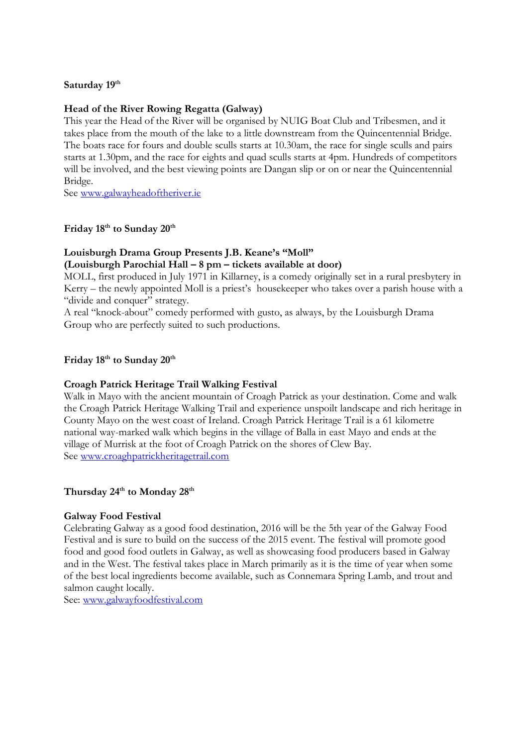### **Saturday 19th**

### **Head of the River Rowing Regatta (Galway)**

This year the Head of the River will be organised by NUIG Boat Club and Tribesmen, and it takes place from the mouth of the lake to a little downstream from the Quincentennial Bridge. The boats race for fours and double sculls starts at 10.30am, the race for single sculls and pairs starts at 1.30pm, and the race for eights and quad sculls starts at 4pm. Hundreds of competitors will be involved, and the best viewing points are Dangan slip or on or near the Quincentennial Bridge.

See [www.galwayheadoftheriver.ie](http://www.galwayheadoftheriver.ie/)

# **Friday 18th to Sunday 20th**

# **Louisburgh Drama Group Presents J.B. Keane's "Moll"**

**(Louisburgh Parochial Hall – 8 pm – tickets available at door)**

MOLL, first produced in July 1971 in Killarney, is a comedy originally set in a rural presbytery in Kerry – the newly appointed Moll is a priest's housekeeper who takes over a parish house with a "divide and conquer" strategy.

A real "knock-about" comedy performed with gusto, as always, by the Louisburgh Drama Group who are perfectly suited to such productions.

### **Friday 18th to Sunday 20th**

### **Croagh Patrick Heritage Trail Walking Festival**

Walk in Mayo with the ancient mountain of Croagh Patrick as your destination. Come and walk the Croagh Patrick Heritage Walking Trail and experience unspoilt landscape and rich heritage in County Mayo on the west coast of Ireland. Croagh Patrick Heritage Trail is a 61 kilometre national way-marked walk which begins in the village of Balla in east Mayo and ends at the village of Murrisk at the foot of Croagh Patrick on the shores of Clew Bay. See [www.croaghpatrickheritagetrail.com](http://www.croaghpatrickheritagetrail.com/)

# **Thursday 24th to Monday 28th**

### **Galway Food Festival**

Celebrating Galway as a good food destination, 2016 will be the 5th year of the Galway Food Festival and is sure to build on the success of the 2015 event. The festival will promote good food and good food outlets in Galway, as well as showcasing food producers based in Galway and in the West. The festival takes place in March primarily as it is the time of year when some of the best local ingredients become available, such as Connemara Spring Lamb, and trout and salmon caught locally.

See: [www.galwayfoodfestival.com](http://www.galwayfoodfestival.com/)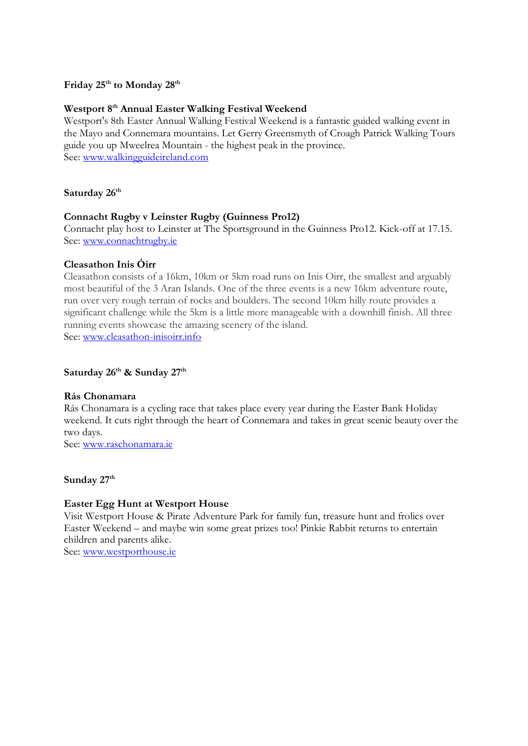### **Friday 25th to Monday 28th**

### **Westport 8th Annual Easter Walking Festival Weekend**

Westport's 8th Easter Annual Walking Festival Weekend is a fantastic guided walking event in the Mayo and Connemara mountains. Let Gerry Greensmyth of Croagh Patrick Walking Tours guide you up Mweelrea Mountain - the highest peak in the province. See: [www.walkingguideireland.com](http://www.walkingguideireland.com/)

### **Saturday 26th**

### **Connacht Rugby v Leinster Rugby (Guinness Pro12)**

Connacht play host to Leinster at The Sportsground in the Guinness Pro12. Kick-off at 17.15. See: [www.connachtrugby.ie](http://www.connachtrugby.ie/)

### **Cleasathon Inis Óirr**

Cleasathon consists of a 16km, 10km or 5km road runs on Inis Oirr, the smallest and arguably most beautiful of the 3 Aran Islands. One of the three events is a new 16km adventure route, run over very rough terrain of rocks and boulders. The second 10km hilly route provides a significant challenge while the 5km is a little more manageable with a downhill finish. All three running events showcase the amazing scenery of the island. See: [www.cleasathon-inisoirr.info](http://www.cleasathon-inisoirr.info/)

### **Saturday 26th & Sunday 27th**

### **Rás Chonamara**

Rás Chonamara is a cycling race that takes place every year during the Easter Bank Holiday weekend. It cuts right through the heart of Connemara and takes in great scenic beauty over the two days.

See: [www.raschonamara.ie](http://www.raschonamara.ie/)

### **Sunday 27th**

### **Easter Egg Hunt at Westport House**

Visit Westport House & Pirate Adventure Park for family fun, treasure hunt and frolics over Easter Weekend – and maybe win some great prizes too! Pinkie Rabbit returns to entertain children and parents alike.

See: [www.westporthouse.ie](http://www.westporthouse.ie/)